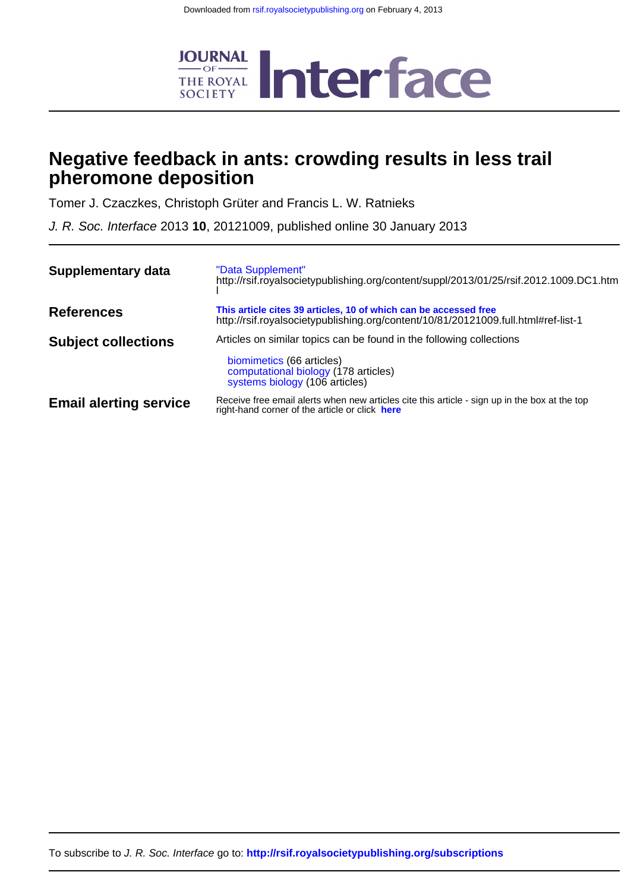

# **pheromone deposition Negative feedback in ants: crowding results in less trail**

Tomer J. Czaczkes, Christoph Grüter and Francis L. W. Ratnieks

J. R. Soc. Interface 2013 **10**, 20121009, published online 30 January 2013

| Supplementary data            | "Data Supplement"<br>http://rsif.royalsocietypublishing.org/content/suppl/2013/01/25/rsif.2012.1009.DC1.htm                                            |
|-------------------------------|--------------------------------------------------------------------------------------------------------------------------------------------------------|
| <b>References</b>             | This article cites 39 articles, 10 of which can be accessed free<br>http://rsif.royalsocietypublishing.org/content/10/81/20121009.full.html#ref-list-1 |
| <b>Subject collections</b>    | Articles on similar topics can be found in the following collections<br>biomimetics (66 articles)<br>computational biology (178 articles)              |
|                               | systems biology (106 articles)                                                                                                                         |
| <b>Email alerting service</b> | Receive free email alerts when new articles cite this article - sign up in the box at the top<br>right-hand corner of the article or click here        |

To subscribe to J. R. Soc. Interface go to: **<http://rsif.royalsocietypublishing.org/subscriptions>**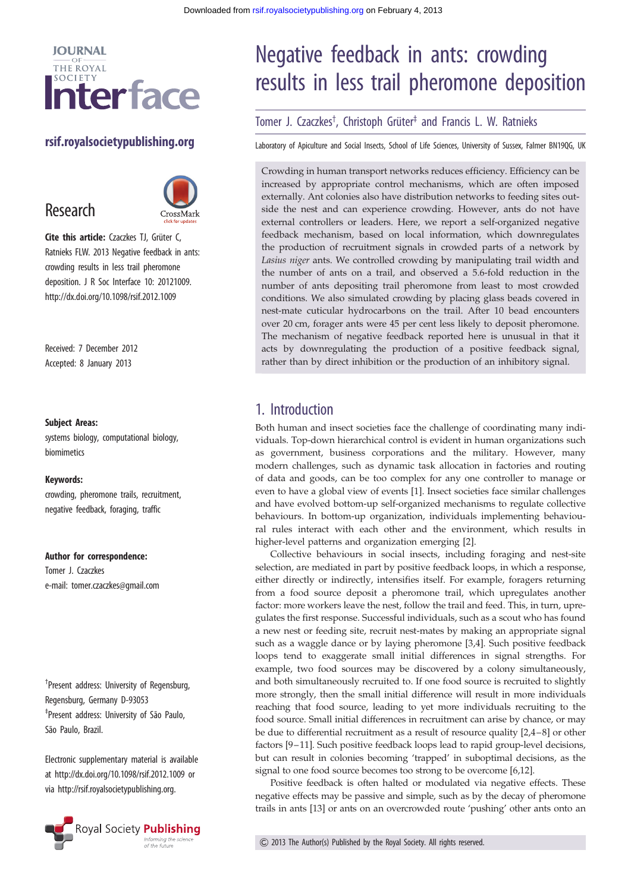

## rsif.royalsocietypublishing.org

# Research



Cite this article: Czaczkes TJ, Grüter C, Ratnieks FLW. 2013 Negative feedback in ants: crowding results in less trail pheromone deposition. J R Soc Interface 10: 20121009. http://dx.doi.org/10.1098/rsif.2012.1009

Received: 7 December 2012 Accepted: 8 January 2013

#### Subject Areas:

systems biology, computational biology, biomimetics

#### Keywords:

crowding, pheromone trails, recruitment, negative feedback, foraging, traffic

#### Author for correspondence:

Tomer J. Czaczkes e-mail: [tomer.czaczkes@gmail.com](mailto:tomer.czaczkes@gmail.com)

† Present address: University of Regensburg, Regensburg, Germany D-93053 <sup>‡</sup>Present address: University of São Paulo, São Paulo, Brazil.

Electronic supplementary material is available at<http://dx.doi.org/10.1098/rsif.2012.1009> or via<http://rsif.royalsocietypublishing.org>.



# Negative feedback in ants: crowding results in less trail pheromone deposition

# Tomer J. Czaczkes<sup>†</sup>, Christoph Grüter<sup>‡</sup> and Francis L. W. Ratnieks

Laboratory of Apiculture and Social Insects, School of Life Sciences, University of Sussex, Falmer BN19QG, UK

Crowding in human transport networks reduces efficiency. Efficiency can be increased by appropriate control mechanisms, which are often imposed externally. Ant colonies also have distribution networks to feeding sites outside the nest and can experience crowding. However, ants do not have external controllers or leaders. Here, we report a self-organized negative feedback mechanism, based on local information, which downregulates the production of recruitment signals in crowded parts of a network by Lasius niger ants. We controlled crowding by manipulating trail width and the number of ants on a trail, and observed a 5.6-fold reduction in the number of ants depositing trail pheromone from least to most crowded conditions. We also simulated crowding by placing glass beads covered in nest-mate cuticular hydrocarbons on the trail. After 10 bead encounters over 20 cm, forager ants were 45 per cent less likely to deposit pheromone. The mechanism of negative feedback reported here is unusual in that it acts by downregulating the production of a positive feedback signal, rather than by direct inhibition or the production of an inhibitory signal.

# 1. Introduction

Both human and insect societies face the challenge of coordinating many individuals. Top-down hierarchical control is evident in human organizations such as government, business corporations and the military. However, many modern challenges, such as dynamic task allocation in factories and routing of data and goods, can be too complex for any one controller to manage or even to have a global view of events [[1](#page-5-0)]. Insect societies face similar challenges and have evolved bottom-up self-organized mechanisms to regulate collective behaviours. In bottom-up organization, individuals implementing behavioural rules interact with each other and the environment, which results in higher-level patterns and organization emerging [[2](#page-5-0)].

Collective behaviours in social insects, including foraging and nest-site selection, are mediated in part by positive feedback loops, in which a response, either directly or indirectly, intensifies itself. For example, foragers returning from a food source deposit a pheromone trail, which upregulates another factor: more workers leave the nest, follow the trail and feed. This, in turn, upregulates the first response. Successful individuals, such as a scout who has found a new nest or feeding site, recruit nest-mates by making an appropriate signal such as a waggle dance or by laying pheromone [[3](#page-5-0),[4](#page-5-0)]. Such positive feedback loops tend to exaggerate small initial differences in signal strengths. For example, two food sources may be discovered by a colony simultaneously, and both simultaneously recruited to. If one food source is recruited to slightly more strongly, then the small initial difference will result in more individuals reaching that food source, leading to yet more individuals recruiting to the food source. Small initial differences in recruitment can arise by chance, or may be due to differential recruitment as a result of resource quality [\[2,4](#page-5-0)–[8](#page-5-0)] or other factors [\[9](#page-5-0)–[11\]](#page-5-0). Such positive feedback loops lead to rapid group-level decisions, but can result in colonies becoming 'trapped' in suboptimal decisions, as the signal to one food source becomes too strong to be overcome [\[6,12\]](#page-5-0).

Positive feedback is often halted or modulated via negative effects. These negative effects may be passive and simple, such as by the decay of pheromone trails in ants [\[13](#page-5-0)] or ants on an overcrowded route 'pushing' other ants onto an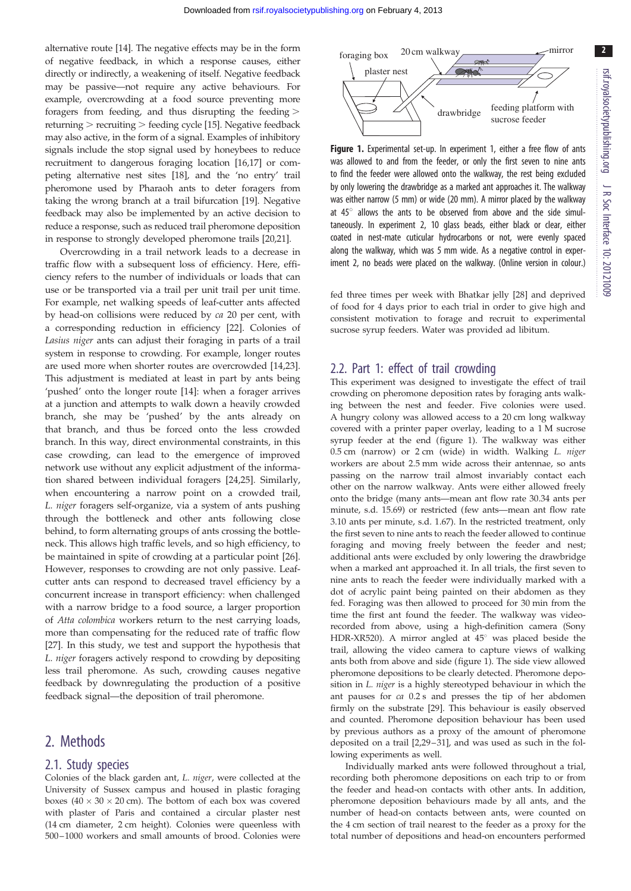alternative route [[14\]](#page-5-0). The negative effects may be in the form of negative feedback, in which a response causes, either directly or indirectly, a weakening of itself. Negative feedback may be passive—not require any active behaviours. For example, overcrowding at a food source preventing more foragers from feeding, and thus disrupting the feeding > returning  $>$  recruiting  $>$  feeding cycle [[15\]](#page-5-0). Negative feedback may also active, in the form of a signal. Examples of inhibitory signals include the stop signal used by honeybees to reduce recruitment to dangerous foraging location [\[16,17](#page-5-0)] or competing alternative nest sites [[18\]](#page-5-0), and the 'no entry' trail pheromone used by Pharaoh ants to deter foragers from taking the wrong branch at a trail bifurcation [\[19](#page-5-0)]. Negative feedback may also be implemented by an active decision to reduce a response, such as reduced trail pheromone deposition in response to strongly developed pheromone trails [\[20](#page-5-0)[,21\]](#page-6-0).

Overcrowding in a trail network leads to a decrease in traffic flow with a subsequent loss of efficiency. Here, efficiency refers to the number of individuals or loads that can use or be transported via a trail per unit trail per unit time. For example, net walking speeds of leaf-cutter ants affected by head-on collisions were reduced by ca 20 per cent, with a corresponding reduction in efficiency [[22\]](#page-6-0). Colonies of Lasius niger ants can adjust their foraging in parts of a trail system in response to crowding. For example, longer routes are used more when shorter routes are overcrowded [\[14](#page-5-0)[,23](#page-6-0)]. This adjustment is mediated at least in part by ants being 'pushed' onto the longer route [[14\]](#page-5-0): when a forager arrives at a junction and attempts to walk down a heavily crowded branch, she may be 'pushed' by the ants already on that branch, and thus be forced onto the less crowded branch. In this way, direct environmental constraints, in this case crowding, can lead to the emergence of improved network use without any explicit adjustment of the information shared between individual foragers [[24,25](#page-6-0)]. Similarly, when encountering a narrow point on a crowded trail, L. niger foragers self-organize, via a system of ants pushing through the bottleneck and other ants following close behind, to form alternating groups of ants crossing the bottleneck. This allows high traffic levels, and so high efficiency, to be maintained in spite of crowding at a particular point [\[26](#page-6-0)]. However, responses to crowding are not only passive. Leafcutter ants can respond to decreased travel efficiency by a concurrent increase in transport efficiency: when challenged with a narrow bridge to a food source, a larger proportion of Atta colombica workers return to the nest carrying loads, more than compensating for the reduced rate of traffic flow [\[27](#page-6-0)]. In this study, we test and support the hypothesis that L. niger foragers actively respond to crowding by depositing less trail pheromone. As such, crowding causes negative feedback by downregulating the production of a positive feedback signal—the deposition of trail pheromone.

# 2. Methods

#### 2.1. Study species

Colonies of the black garden ant, L. niger, were collected at the University of Sussex campus and housed in plastic foraging boxes (40  $\times$  30  $\times$  20 cm). The bottom of each box was covered with plaster of Paris and contained a circular plaster nest (14 cm diameter, 2 cm height). Colonies were queenless with 500 – 1000 workers and small amounts of brood. Colonies were



Figure 1. Experimental set-up. In experiment 1, either a free flow of ants was allowed to and from the feeder, or only the first seven to nine ants to find the feeder were allowed onto the walkway, the rest being excluded by only lowering the drawbridge as a marked ant approaches it. The walkway was either narrow (5 mm) or wide (20 mm). A mirror placed by the walkway at  $45^\circ$  allows the ants to be observed from above and the side simultaneously. In experiment 2, 10 glass beads, either black or clear, either coated in nest-mate cuticular hydrocarbons or not, were evenly spaced along the walkway, which was 5 mm wide. As a negative control in experiment 2, no beads were placed on the walkway. (Online version in colour.)

fed three times per week with Bhatkar jelly [[28](#page-6-0)] and deprived of food for 4 days prior to each trial in order to give high and consistent motivation to forage and recruit to experimental sucrose syrup feeders. Water was provided ad libitum.

#### 2.2. Part 1: effect of trail crowding

This experiment was designed to investigate the effect of trail crowding on pheromone deposition rates by foraging ants walking between the nest and feeder. Five colonies were used. A hungry colony was allowed access to a 20 cm long walkway covered with a printer paper overlay, leading to a 1 M sucrose syrup feeder at the end (figure 1). The walkway was either 0.5 cm (narrow) or 2 cm (wide) in width. Walking L. niger workers are about 2.5 mm wide across their antennae, so ants passing on the narrow trail almost invariably contact each other on the narrow walkway. Ants were either allowed freely onto the bridge (many ants—mean ant flow rate 30.34 ants per minute, s.d. 15.69) or restricted (few ants—mean ant flow rate 3.10 ants per minute, s.d. 1.67). In the restricted treatment, only the first seven to nine ants to reach the feeder allowed to continue foraging and moving freely between the feeder and nest; additional ants were excluded by only lowering the drawbridge when a marked ant approached it. In all trials, the first seven to nine ants to reach the feeder were individually marked with a dot of acrylic paint being painted on their abdomen as they fed. Foraging was then allowed to proceed for 30 min from the time the first ant found the feeder. The walkway was videorecorded from above, using a high-definition camera (Sony HDR-XR520). A mirror angled at  $45^{\circ}$  was placed beside the trail, allowing the video camera to capture views of walking ants both from above and side (figure 1). The side view allowed pheromone depositions to be clearly detected. Pheromone deposition in L. niger is a highly stereotyped behaviour in which the ant pauses for ca 0.2 s and presses the tip of her abdomen firmly on the substrate [\[29\]](#page-6-0). This behaviour is easily observed and counted. Pheromone deposition behaviour has been used by previous authors as a proxy of the amount of pheromone deposited on a trail [[2,](#page-5-0)[29](#page-6-0)-31], and was used as such in the following experiments as well.

Individually marked ants were followed throughout a trial, recording both pheromone depositions on each trip to or from the feeder and head-on contacts with other ants. In addition, pheromone deposition behaviours made by all ants, and the number of head-on contacts between ants, were counted on the 4 cm section of trail nearest to the feeder as a proxy for the total number of depositions and head-on encounters performed

2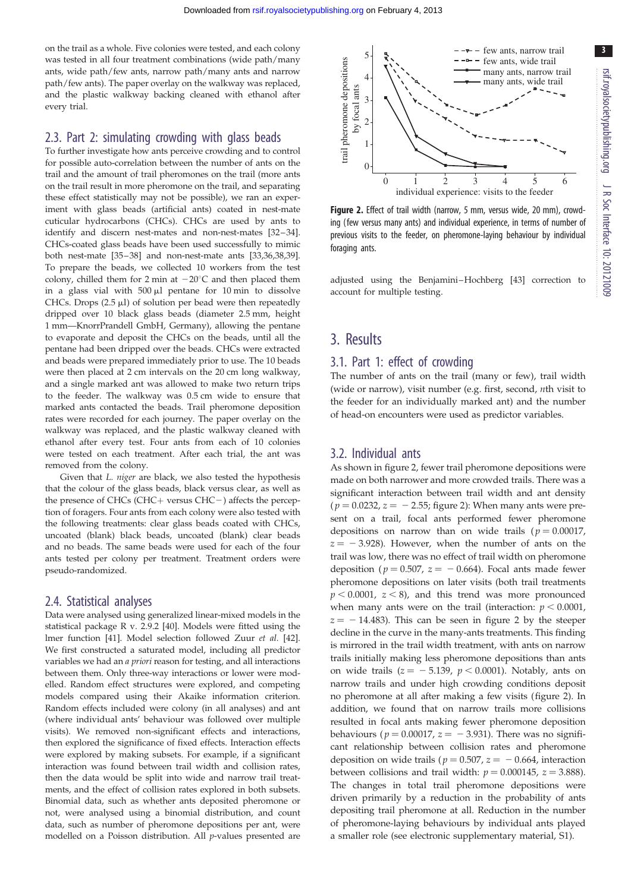on the trail as a whole. Five colonies were tested, and each colony was tested in all four treatment combinations (wide path/many ants, wide path/few ants, narrow path/many ants and narrow path/few ants). The paper overlay on the walkway was replaced, and the plastic walkway backing cleaned with ethanol after every trial.

#### 2.3. Part 2: simulating crowding with glass beads

To further investigate how ants perceive crowding and to control for possible auto-correlation between the number of ants on the trail and the amount of trail pheromones on the trail (more ants on the trail result in more pheromone on the trail, and separating these effect statistically may not be possible), we ran an experiment with glass beads (artificial ants) coated in nest-mate cuticular hydrocarbons (CHCs). CHCs are used by ants to identify and discern nest-mates and non-nest-mates [[32](#page-6-0)-34]. CHCs-coated glass beads have been used successfully to mimic both nest-mate [[35](#page-6-0) – [38\]](#page-6-0) and non-nest-mate ants [\[33,36,38,39\]](#page-6-0). To prepare the beads, we collected 10 workers from the test colony, chilled them for 2 min at  $-20^{\circ}$ C and then placed them in a glass vial with  $500 \mu l$  pentane for 10 min to dissolve CHCs. Drops  $(2.5 \mu l)$  of solution per bead were then repeatedly dripped over 10 black glass beads (diameter 2.5 mm, height 1 mm—KnorrPrandell GmbH, Germany), allowing the pentane to evaporate and deposit the CHCs on the beads, until all the pentane had been dripped over the beads. CHCs were extracted and beads were prepared immediately prior to use. The 10 beads were then placed at 2 cm intervals on the 20 cm long walkway, and a single marked ant was allowed to make two return trips to the feeder. The walkway was 0.5 cm wide to ensure that marked ants contacted the beads. Trail pheromone deposition rates were recorded for each journey. The paper overlay on the walkway was replaced, and the plastic walkway cleaned with ethanol after every test. Four ants from each of 10 colonies were tested on each treatment. After each trial, the ant was removed from the colony.

Given that L. niger are black, we also tested the hypothesis that the colour of the glass beads, black versus clear, as well as the presence of CHCs (CHC+ versus CHC-) affects the perception of foragers. Four ants from each colony were also tested with the following treatments: clear glass beads coated with CHCs, uncoated (blank) black beads, uncoated (blank) clear beads and no beads. The same beads were used for each of the four ants tested per colony per treatment. Treatment orders were pseudo-randomized.

#### 2.4. Statistical analyses

Data were analysed using generalized linear-mixed models in the statistical package R v. 2.9.2 [\[40\]](#page-6-0). Models were fitted using the lmer function [[41](#page-6-0)]. Model selection followed Zuur et al. [\[42\]](#page-6-0). We first constructed a saturated model, including all predictor variables we had an a priori reason for testing, and all interactions between them. Only three-way interactions or lower were modelled. Random effect structures were explored, and competing models compared using their Akaike information criterion. Random effects included were colony (in all analyses) and ant (where individual ants' behaviour was followed over multiple visits). We removed non-significant effects and interactions, then explored the significance of fixed effects. Interaction effects were explored by making subsets. For example, if a significant interaction was found between trail width and collision rates, then the data would be split into wide and narrow trail treatments, and the effect of collision rates explored in both subsets. Binomial data, such as whether ants deposited pheromone or not, were analysed using a binomial distribution, and count data, such as number of pheromone depositions per ant, were modelled on a Poisson distribution. All p-values presented are



Figure 2. Effect of trail width (narrow, 5 mm, versus wide, 20 mm), crowding (few versus many ants) and individual experience, in terms of number of previous visits to the feeder, on pheromone-laying behaviour by individual foraging ants.

adjusted using the Benjamini –Hochberg [\[43\]](#page-6-0) correction to account for multiple testing.

# 3. Results

#### 3.1. Part 1: effect of crowding

The number of ants on the trail (many or few), trail width (wide or narrow), visit number (e.g. first, second,  $n$ th visit to the feeder for an individually marked ant) and the number of head-on encounters were used as predictor variables.

#### 3.2. Individual ants

As shown in figure 2, fewer trail pheromone depositions were made on both narrower and more crowded trails. There was a significant interaction between trail width and ant density  $(p = 0.0232, z = -2.55;$  figure 2): When many ants were present on a trail, focal ants performed fewer pheromone depositions on narrow than on wide trails ( $p = 0.00017$ ,  $z = -3.928$ ). However, when the number of ants on the trail was low, there was no effect of trail width on pheromone deposition ( $p = 0.507$ ,  $z = -0.664$ ). Focal ants made fewer pheromone depositions on later visits (both trail treatments  $p < 0.0001$ ,  $z < 8$ ), and this trend was more pronounced when many ants were on the trail (interaction:  $p < 0.0001$ ,  $z = -14.483$ ). This can be seen in figure 2 by the steeper decline in the curve in the many-ants treatments. This finding is mirrored in the trail width treatment, with ants on narrow trails initially making less pheromone depositions than ants on wide trails ( $z = -5.139$ ,  $p < 0.0001$ ). Notably, ants on narrow trails and under high crowding conditions deposit no pheromone at all after making a few visits (figure 2). In addition, we found that on narrow trails more collisions resulted in focal ants making fewer pheromone deposition behaviours ( $p = 0.00017$ ,  $z = -3.931$ ). There was no significant relationship between collision rates and pheromone deposition on wide trails ( $p = 0.507$ ,  $z = -0.664$ , interaction between collisions and trail width:  $p = 0.000145$ ,  $z = 3.888$ ). The changes in total trail pheromone depositions were driven primarily by a reduction in the probability of ants depositing trail pheromone at all. Reduction in the number of pheromone-laying behaviours by individual ants played a smaller role (see electronic supplementary material, S1).

3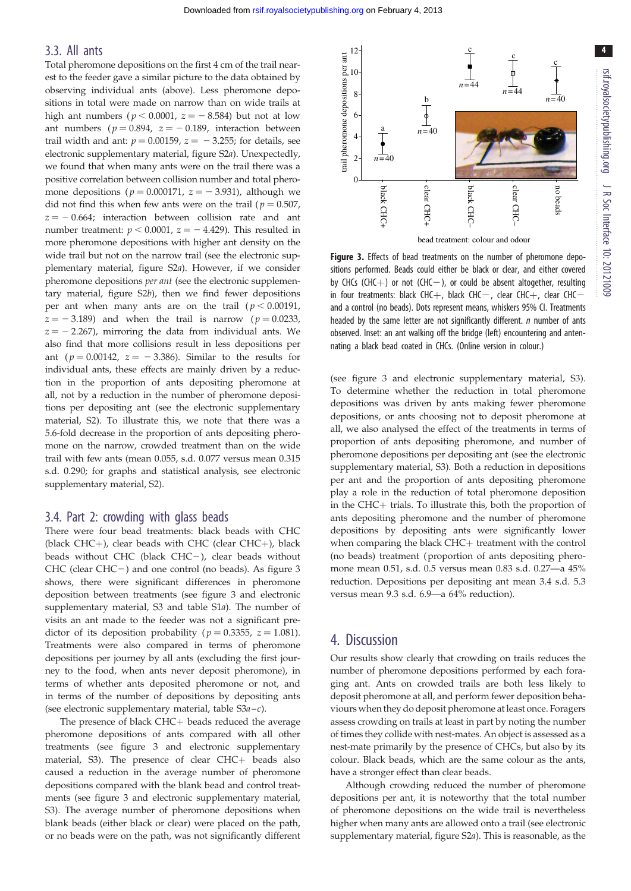4

### 3.3. All ants

Total pheromone depositions on the first 4 cm of the trail nearest to the feeder gave a similar picture to the data obtained by observing individual ants (above). Less pheromone depositions in total were made on narrow than on wide trails at high ant numbers ( $p < 0.0001$ ,  $z = -8.584$ ) but not at low ant numbers ( $p = 0.894$ ,  $z = -0.189$ , interaction between trail width and ant:  $p = 0.00159$ ,  $z = -3.255$ ; for details, see electronic supplementary material, figure S2a). Unexpectedly, we found that when many ants were on the trail there was a positive correlation between collision number and total pheromone depositions ( $p = 0.000171$ ,  $z = -3.931$ ), although we did not find this when few ants were on the trail ( $p = 0.507$ ,  $z = -0.664$ ; interaction between collision rate and ant number treatment:  $p < 0.0001$ ,  $z = -4.429$ ). This resulted in more pheromone depositions with higher ant density on the wide trail but not on the narrow trail (see the electronic supplementary material, figure S2a). However, if we consider pheromone depositions per ant (see the electronic supplementary material, figure S2b), then we find fewer depositions per ant when many ants are on the trail  $(p < 0.00191)$ ,  $z = -3.189$ ) and when the trail is narrow ( $p = 0.0233$ ,  $z = -2.267$ ), mirroring the data from individual ants. We also find that more collisions result in less depositions per ant ( $p = 0.00142$ ,  $z = -3.386$ ). Similar to the results for individual ants, these effects are mainly driven by a reduction in the proportion of ants depositing pheromone at all, not by a reduction in the number of pheromone depositions per depositing ant (see the electronic supplementary material, S2). To illustrate this, we note that there was a 5.6-fold decrease in the proportion of ants depositing pheromone on the narrow, crowded treatment than on the wide trail with few ants (mean 0.055, s.d. 0.077 versus mean 0.315 s.d. 0.290; for graphs and statistical analysis, see electronic supplementary material, S2).

#### 3.4. Part 2: crowding with glass beads

There were four bead treatments: black beads with CHC (black CHC $+$ ), clear beads with CHC (clear CHC $+$ ), black beads without CHC (black CHC $-$ ), clear beads without  $CHC$  (clear  $CHC-$ ) and one control (no beads). As figure 3 shows, there were significant differences in pheromone deposition between treatments (see figure 3 and electronic supplementary material, S3 and table S1a). The number of visits an ant made to the feeder was not a significant predictor of its deposition probability ( $p = 0.3355$ ,  $z = 1.081$ ). Treatments were also compared in terms of pheromone depositions per journey by all ants (excluding the first journey to the food, when ants never deposit pheromone), in terms of whether ants deposited pheromone or not, and in terms of the number of depositions by depositing ants (see electronic supplementary material, table  $S3a-c$ ).

The presence of black  $CHC+$  beads reduced the average pheromone depositions of ants compared with all other treatments (see figure 3 and electronic supplementary material, S3). The presence of clear  $CHC+$  beads also caused a reduction in the average number of pheromone depositions compared with the blank bead and control treatments (see figure 3 and electronic supplementary material, S3). The average number of pheromone depositions when blank beads (either black or clear) were placed on the path, or no beads were on the path, was not significantly different



Figure 3. Effects of bead treatments on the number of pheromone depositions performed. Beads could either be black or clear, and either covered by CHCs (CHC+) or not (CHC-), or could be absent altogether, resulting in four treatments: black CHC $+$ , black CHC $-$ , clear CHC $+$ , clear CHC $$ and a control (no beads). Dots represent means, whiskers 95% CI. Treatments headed by the same letter are not significantly different.  $n$  number of ants observed. Inset: an ant walking off the bridge (left) encountering and antennating a black bead coated in CHCs. (Online version in colour.)

(see figure 3 and electronic supplementary material, S3). To determine whether the reduction in total pheromone depositions was driven by ants making fewer pheromone depositions, or ants choosing not to deposit pheromone at all, we also analysed the effect of the treatments in terms of proportion of ants depositing pheromone, and number of pheromone depositions per depositing ant (see the electronic supplementary material, S3). Both a reduction in depositions per ant and the proportion of ants depositing pheromone play a role in the reduction of total pheromone deposition in the CHC+ trials. To illustrate this, both the proportion of ants depositing pheromone and the number of pheromone depositions by depositing ants were significantly lower when comparing the black  $CHC+$  treatment with the control (no beads) treatment (proportion of ants depositing pheromone mean 0.51, s.d. 0.5 versus mean 0.83 s.d. 0.27—a 45% reduction. Depositions per depositing ant mean 3.4 s.d. 5.3 versus mean 9.3 s.d. 6.9—a 64% reduction).

# 4. Discussion

Our results show clearly that crowding on trails reduces the number of pheromone depositions performed by each foraging ant. Ants on crowded trails are both less likely to deposit pheromone at all, and perform fewer deposition behaviours when they do deposit pheromone at least once. Foragers assess crowding on trails at least in part by noting the number of times they collide with nest-mates. An object is assessed as a nest-mate primarily by the presence of CHCs, but also by its colour. Black beads, which are the same colour as the ants, have a stronger effect than clear beads.

Although crowding reduced the number of pheromone depositions per ant, it is noteworthy that the total number of pheromone depositions on the wide trail is nevertheless higher when many ants are allowed onto a trail (see electronic supplementary material, figure S2a). This is reasonable, as the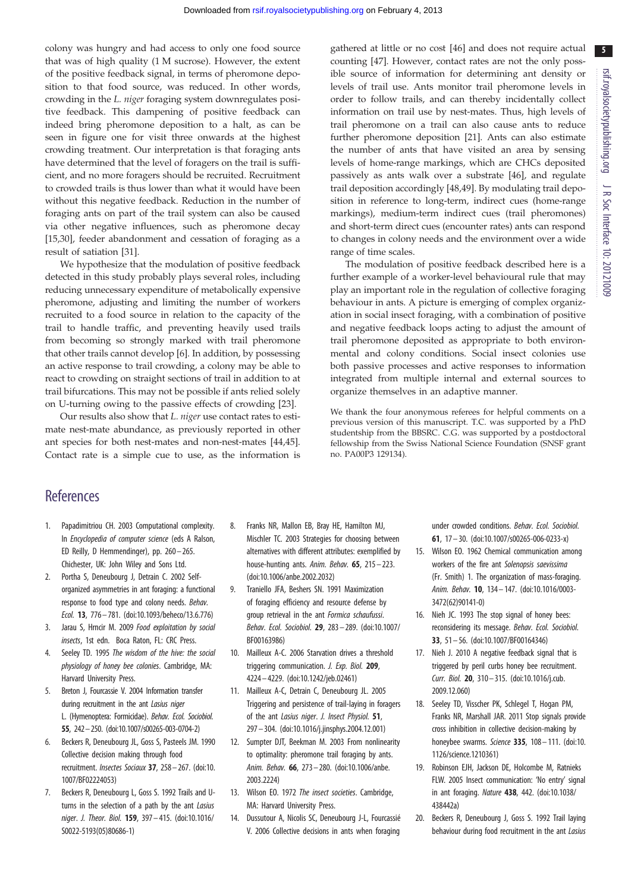<span id="page-5-0"></span>colony was hungry and had access to only one food source that was of high quality (1 M sucrose). However, the extent of the positive feedback signal, in terms of pheromone deposition to that food source, was reduced. In other words, crowding in the L. niger foraging system downregulates positive feedback. This dampening of positive feedback can indeed bring pheromone deposition to a halt, as can be seen in figure one for visit three onwards at the highest crowding treatment. Our interpretation is that foraging ants have determined that the level of foragers on the trail is sufficient, and no more foragers should be recruited. Recruitment to crowded trails is thus lower than what it would have been without this negative feedback. Reduction in the number of foraging ants on part of the trail system can also be caused via other negative influences, such as pheromone decay [15,[30\]](#page-6-0), feeder abandonment and cessation of foraging as a result of satiation [\[31](#page-6-0)].

We hypothesize that the modulation of positive feedback detected in this study probably plays several roles, including reducing unnecessary expenditure of metabolically expensive pheromone, adjusting and limiting the number of workers recruited to a food source in relation to the capacity of the trail to handle traffic, and preventing heavily used trails from becoming so strongly marked with trail pheromone that other trails cannot develop [6]. In addition, by possessing an active response to trail crowding, a colony may be able to react to crowding on straight sections of trail in addition to at trail bifurcations. This may not be possible if ants relied solely on U-turning owing to the passive effects of crowding [[23\]](#page-6-0).

Our results also show that L. niger use contact rates to estimate nest-mate abundance, as previously reported in other ant species for both nest-mates and non-nest-mates [\[44,45](#page-6-0)]. Contact rate is a simple cue to use, as the information is

gathered at little or no cost [\[46](#page-6-0)] and does not require actual counting [[47\]](#page-6-0). However, contact rates are not the only possible source of information for determining ant density or levels of trail use. Ants monitor trail pheromone levels in order to follow trails, and can thereby incidentally collect information on trail use by nest-mates. Thus, high levels of trail pheromone on a trail can also cause ants to reduce further pheromone deposition [\[21](#page-6-0)]. Ants can also estimate the number of ants that have visited an area by sensing levels of home-range markings, which are CHCs deposited passively as ants walk over a substrate [[46\]](#page-6-0), and regulate trail deposition accordingly [\[48](#page-6-0),[49\]](#page-6-0). By modulating trail deposition in reference to long-term, indirect cues (home-range markings), medium-term indirect cues (trail pheromones) and short-term direct cues (encounter rates) ants can respond to changes in colony needs and the environment over a wide range of time scales.

The modulation of positive feedback described here is a further example of a worker-level behavioural rule that may play an important role in the regulation of collective foraging behaviour in ants. A picture is emerging of complex organization in social insect foraging, with a combination of positive and negative feedback loops acting to adjust the amount of trail pheromone deposited as appropriate to both environmental and colony conditions. Social insect colonies use both passive processes and active responses to information integrated from multiple internal and external sources to organize themselves in an adaptive manner.

We thank the four anonymous referees for helpful comments on a previous version of this manuscript. T.C. was supported by a PhD studentship from the BBSRC. C.G. was supported by a postdoctoral fellowship from the Swiss National Science Foundation (SNSF grant no. PA00P3 129134).

# **References**

- 1. Papadimitriou CH. 2003 Computational complexity. In *Encyclopedia of computer science* (eds A Ralson, ED Reilly, D Hemmendinger), pp. 260– 265. Chichester, UK: John Wiley and Sons Ltd.
- 2. Portha S, Deneubourg J, Detrain C. 2002 Selforganized asymmetries in ant foraging: a functional response to food type and colony needs. Behav. Ecol. 13, 776– 781. ([doi:10.1093/beheco/13.6.776](http://dx.doi.org/10.1093/beheco/13.6.776))
- 3. Jarau S, Hrncir M. 2009 Food exploitation by social insects, 1st edn. Boca Raton, FL: CRC Press.
- 4. Seeley TD. 1995 The wisdom of the hive: the social physiology of honey bee colonies. Cambridge, MA: Harvard University Press.
- 5. Breton J, Fourcassie V. 2004 Information transfer during recruitment in the ant Lasius niger L. (Hymenoptera: Formicidae). Behav. Ecol. Sociobiol. 55, 242–250. [\(doi:10.1007/s00265-003-0704-2](http://dx.doi.org/10.1007/s00265-003-0704-2))
- 6. Beckers R, Deneubourg JL, Goss S, Pasteels JM. 1990 Collective decision making through food recruitment. Insectes Sociaux 37, 258– 267. ([doi:10.](http://dx.doi.org/10.1007/BF02224053) [1007/BF02224053\)](http://dx.doi.org/10.1007/BF02224053)
- 7. Beckers R, Deneubourg L, Goss S. 1992 Trails and Uturns in the selection of a path by the ant Lasius niger. J. Theor. Biol. 159, 397– 415. [\(doi:10.1016/](http://dx.doi.org/10.1016/S0022-5193(05)80686-1) [S0022-5193\(05\)80686-1\)](http://dx.doi.org/10.1016/S0022-5193(05)80686-1)
- 8. Franks NR, Mallon EB, Bray HE, Hamilton MJ, Mischler TC. 2003 Strategies for choosing between alternatives with different attributes: exemplified by house-hunting ants. Anim. Behav. 65, 215– 223. [\(doi:10.1006/anbe.2002.2032\)](http://dx.doi.org/10.1006/anbe.2002.2032)
- 9. Traniello JFA, Beshers SN. 1991 Maximization of foraging efficiency and resource defense by group retrieval in the ant Formica schaufussi. Behav. Ecol. Sociobiol. 29, 283 – 289. ([doi:10.1007/](http://dx.doi.org/10.1007/BF00163986) [BF00163986\)](http://dx.doi.org/10.1007/BF00163986)
- 10. Mailleux A-C. 2006 Starvation drives a threshold triggering communication. J. Exp. Biol. 209, 4224– 4229. [\(doi:10.1242/jeb.02461\)](http://dx.doi.org/10.1242/jeb.02461)
- 11. Mailleux A-C, Detrain C, Deneubourg JL. 2005 Triggering and persistence of trail-laying in foragers of the ant Lasius niger. J. Insect Physiol. 51, 297 – 304. [\(doi:10.1016/j.jinsphys.2004.12.001\)](http://dx.doi.org/10.1016/j.jinsphys.2004.12.001)
- 12. Sumpter DJT, Beekman M. 2003 From nonlinearity to optimality: pheromone trail foraging by ants. Anim. Behav. 66, 273– 280. [\(doi:10.1006/anbe.](http://dx.doi.org/10.1006/anbe.2003.2224) [2003.2224\)](http://dx.doi.org/10.1006/anbe.2003.2224)
- 13. Wilson EO. 1972 The insect societies. Cambridge, MA: Harvard University Press.
- 14. Dussutour A, Nicolis SC, Deneubourg J-L, Fourcassié V. 2006 Collective decisions in ants when foraging

under crowded conditions. Behav. Ecol. Sociobiol. 61, 17 – 30. ([doi:10.1007/s00265-006-0233-x\)](http://dx.doi.org/10.1007/s00265-006-0233-x)

- 15. Wilson EO. 1962 Chemical communication among workers of the fire ant Solenopsis saevissima (Fr. Smith) 1. The organization of mass-foraging. Anim. Behav. 10, 134– 147. [\(doi:10.1016/0003-](http://dx.doi.org/10.1016/0003-3472(62)90141-0) [3472\(62\)90141-0](http://dx.doi.org/10.1016/0003-3472(62)90141-0))
- 16. Nieh JC. 1993 The stop signal of honey bees: reconsidering its message. Behav. Ecol. Sociobiol. 33, 51 – 56. ([doi:10.1007/BF00164346\)](http://dx.doi.org/10.1007/BF00164346)
- 17. Nieh J. 2010 A negative feedback signal that is triggered by peril curbs honey bee recruitment. Curr. Biol. 20, 310– 315. ([doi:10.1016/j.cub.](http://dx.doi.org/10.1016/j.cub.2009.12.060) [2009.12.060](http://dx.doi.org/10.1016/j.cub.2009.12.060))
- 18. Seeley TD, Visscher PK, Schlegel T, Hogan PM, Franks NR, Marshall JAR. 2011 Stop signals provide cross inhibition in collective decision-making by honeybee swarms. Science 335, 108 - 111. [\(doi:10.](http://dx.doi.org/10.1126/science.1210361) [1126/science.1210361](http://dx.doi.org/10.1126/science.1210361))
- 19. Robinson EJH, Jackson DE, Holcombe M, Ratnieks FLW. 2005 Insect communication: 'No entry' signal in ant foraging. Nature 438, 442. [\(doi:10.1038/](http://dx.doi.org/10.1038/438442a) [438442a](http://dx.doi.org/10.1038/438442a))
- 20. Beckers R, Deneubourg J, Goss S. 1992 Trail laying behaviour during food recruitment in the ant Lasius

5